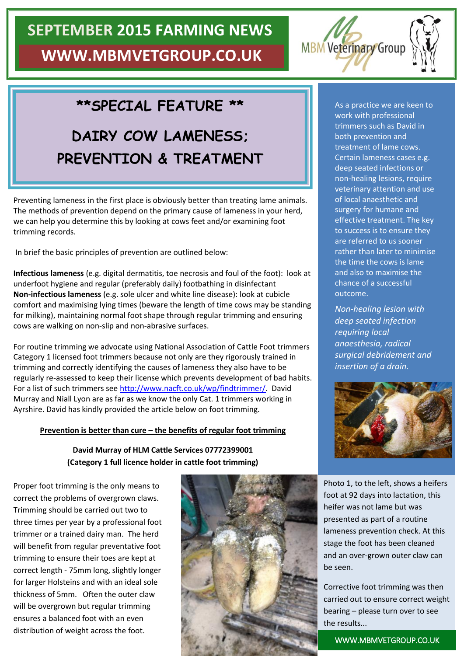## **SEPTEMBER 2015 FARMING NEWS WWW.MBMVETGROUP.CO.UK**



### **\*\*SPECIAL FEATURE \*\***

## **DAIRY COW LAMENESS; PREVENTION & TREATMENT**

Preventing lameness in the first place is obviously better than treating lame animals. The methods of prevention depend on the primary cause of lameness in your herd, we can help you determine this by looking at cows feet and/or examining foot trimming records.

In brief the basic principles of prevention are outlined below:

**Infectious lameness** (e.g. digital dermatitis, toe necrosis and foul of the foot): look at underfoot hygiene and regular (preferably daily) footbathing in disinfectant **Non-infectious lameness** (e.g. sole ulcer and white line disease): look at cubicle comfort and maximising lying times (beware the length of time cows may be standing for milking), maintaining normal foot shape through regular trimming and ensuring cows are walking on non-slip and non-abrasive surfaces.

For routine trimming we advocate using National Association of Cattle Foot trimmers Category 1 licensed foot trimmers because not only are they rigorously trained in trimming and correctly identifying the causes of lameness they also have to be regularly re-assessed to keep their license which prevents development of bad habits. For a list of such trimmers see [http://www.nacft.co.uk/wp/findtrimmer/.](http://www.nacft.co.uk/wp/findtrimmer/) David Murray and Niall Lyon are as far as we know the only Cat. 1 trimmers working in Ayrshire. David has kindly provided the article below on foot trimming.

#### **Prevention is better than cure – the benefits of regular foot trimming**

#### **David Murray of HLM Cattle Services 07772399001 (Category 1 full licence holder in cattle foot trimming)**

Proper foot trimming is the only means to correct the problems of overgrown claws. Trimming should be carried out two to three times per year by a professional foot trimmer or a trained dairy man. The herd will benefit from regular preventative foot trimming to ensure their toes are kept at correct length - 75mm long, slightly longer for larger Holsteins and with an ideal sole thickness of 5mm. Often the outer claw will be overgrown but regular trimming ensures a balanced foot with an even distribution of weight across the foot.



As a practice we are keen to work with professional trimmers such as David in both prevention and treatment of lame cows. Certain lameness cases e.g. deep seated infections or non-healing lesions, require veterinary attention and use of local anaesthetic and surgery for humane and effective treatment. The key to success is to ensure they are referred to us sooner rather than later to minimise the time the cows is lame and also to maximise the chance of a successful outcome.

*Non-healing lesion with deep seated infection requiring local anaesthesia, radical surgical debridement and insertion of a drain.*



Photo 1, to the left, shows a heifers foot at 92 days into lactation, this heifer was not lame but was presented as part of a routine lameness prevention check. At this stage the foot has been cleaned and an over-grown outer claw can be seen.

Corrective foot trimming was then carried out to ensure correct weight bearing – please turn over to see the results...